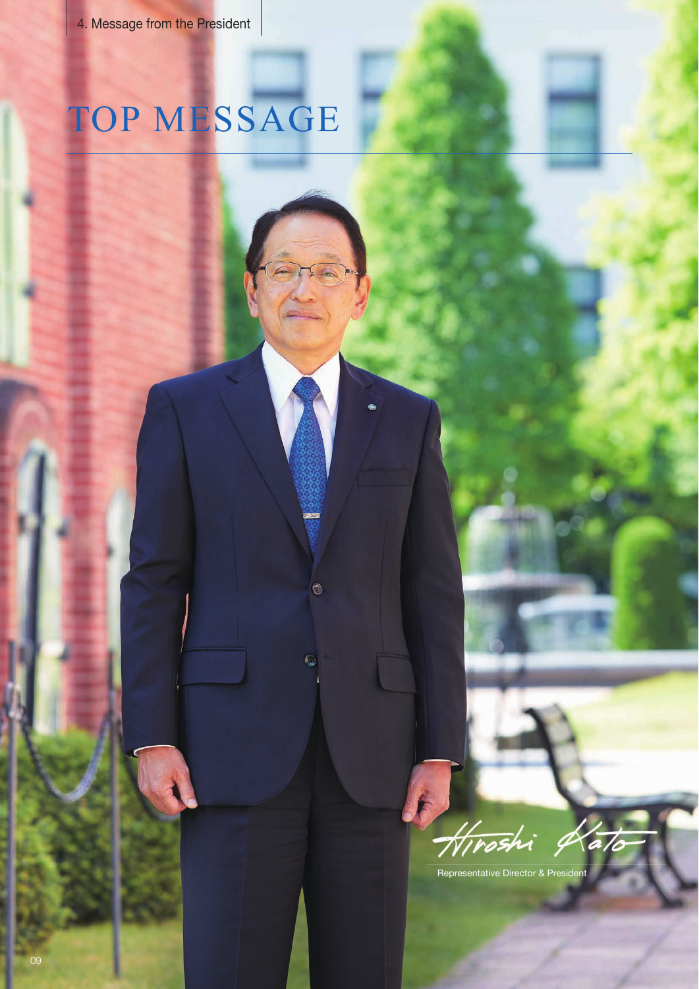# TOP MESSAGE

O

 $\mathbb{C}$ 



Representative Director & President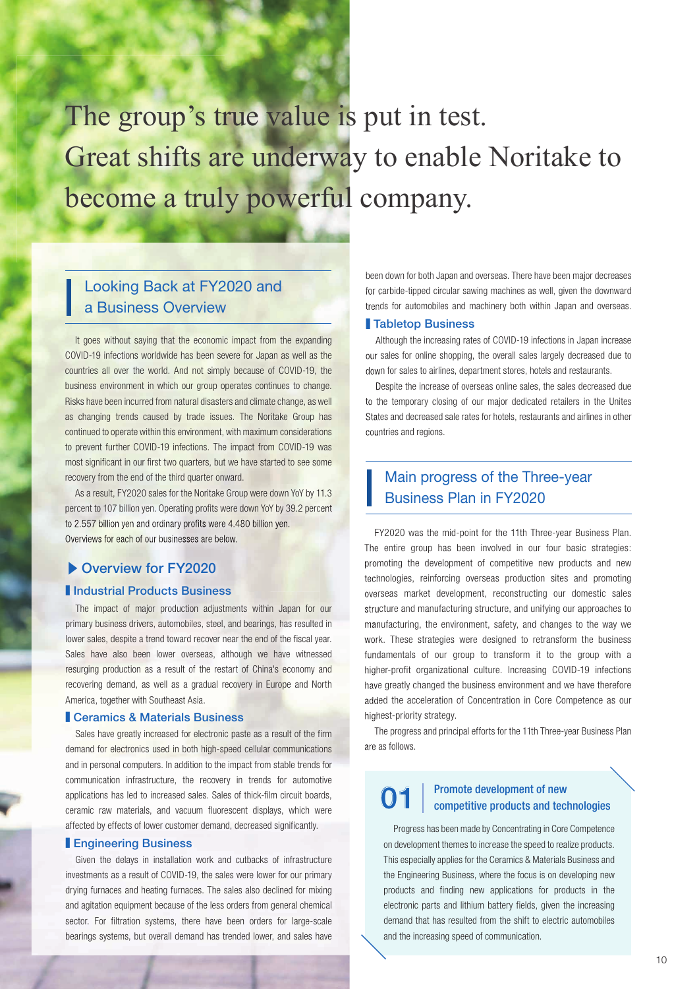# The group's true value is put in test. Great shifts are underway to enable Noritake to become a truly powerful company.

### Looking Back at FY2020 and a Business Overview

It goes without saying that the economic impact from the expanding COVID-19 infections worldwide has been severe for Japan as well as the countries all over the world. And not simply because of COVID-19, the business environment in which our group operates continues to change. Risks have been incurred from natural disasters and climate change, as well as changing trends caused by trade issues. The Noritake Group has continued to operate within this environment, with maximum considerations to prevent further COVID-19 infections. The impact from COVID-19 was most significant in our first two quarters, but we have started to see some recovery from the end of the third quarter onward.

As a result, FY2020 sales for the Noritake Group were down YoY by 11.3 percent to 107 billion yen. Operating profits were down YoY by 39.2 percent to 2.557 billion yen and ordinary profits were 4.480 billion yen. Overviews for each of our businesses are below.

### ▶ Overview for FY2020

### **I** Industrial Products Business

The impact of major production adjustments within Japan for our primary business drivers, automobiles, steel, and bearings, has resulted in lower sales, despite a trend toward recover near the end of the fiscal year. Sales have also been lower overseas, although we have witnessed resurging production as a result of the restart of China's economy and recovering demand, as well as a gradual recovery in Europe and North America, together with Southeast Asia.

#### **Ceramics & Materials Business**

Sales have greatly increased for electronic paste as a result of the firm demand for electronics used in both high-speed cellular communications and in personal computers. In addition to the impact from stable trends for communication infrastructure, the recovery in trends for automotive applications has led to increased sales. Sales of thick-film circuit boards. ceramic raw materials, and vacuum fluorescent displays, which were affected by effects of lower customer demand, decreased significantly.

#### ■ Engineering Business

Given the delays in installation work and cutbacks of infrastructure investments as a result of COVID-19, the sales were lower for our primary drying furnaces and heating furnaces. The sales also declined for mixing and agitation equipment because of the less orders from general chemical sector. For filtration systems, there have been orders for large-scale bearings systems, but overall demand has trended lower, and sales have been down for both Japan and overseas. There have been major decreases for carbide-tipped circular sawing machines as well, given the downward trends for automobiles and machinery both within Japan and overseas.

### ■ Tabletop Business

Although the increasing rates of COVID-19 infections in Japan increase our sales for online shopping, the overall sales largely decreased due to down for sales to airlines, department stores, hotels and restaurants.

Despite the increase of overseas online sales, the sales decreased due to the temporary closing of our major dedicated retailers in the Unites States and decreased sale rates for hotels, restaurants and airlines in other countries and regions.

### Main progress of the Three-year Business Plan in FY2020

FY2020 was the mid-point for the 11th Three-year Business Plan. The entire group has been involved in our four basic strategies: promoting the development of competitive new products and new technologies, reinforcing overseas production sites and promoting overseas market development, reconstructing our domestic sales structure and manufacturing structure, and unifying our approaches to manufacturing, the environment, safety, and changes to the way we work. These strategies were designed to retransform the business fundamentals of our group to transform it to the group with a higher-profit organizational culture. Increasing COVID-19 infections have greatly changed the business environment and we have therefore added the acceleration of Concentration in Core Competence as our highest-priority strategy.

The progress and principal efforts for the 11th Three-year Business Plan are as follows.

### **01**  $\int_{0}^{2\pi}$   $\frac{1}{\pi}$   $\frac{1}{\pi}$   $\frac{1}{\pi}$   $\frac{1}{\pi}$   $\frac{1}{\pi}$   $\frac{1}{\pi}$   $\frac{1}{\pi}$   $\frac{1}{\pi}$   $\frac{1}{\pi}$   $\frac{1}{\pi}$   $\frac{1}{\pi}$   $\frac{1}{\pi}$   $\frac{1}{\pi}$   $\frac{1}{\pi}$   $\frac{1}{\pi}$   $\frac{1}{\pi}$   $\frac{1}{\pi}$   $\frac{1}{\pi}$   $\frac{1}{$

Progress has been made by Concentrating in Core Competence on development themes to increase the speed to realize products. This especially applies for the Ceramics & Materials Business and the Engineering Business, where the focus is on developing new products and finding new applications for products in the electronic parts and lithium battery fields, given the increasing demand that has resulted from the shift to electric automobiles and the increasing speed of communication.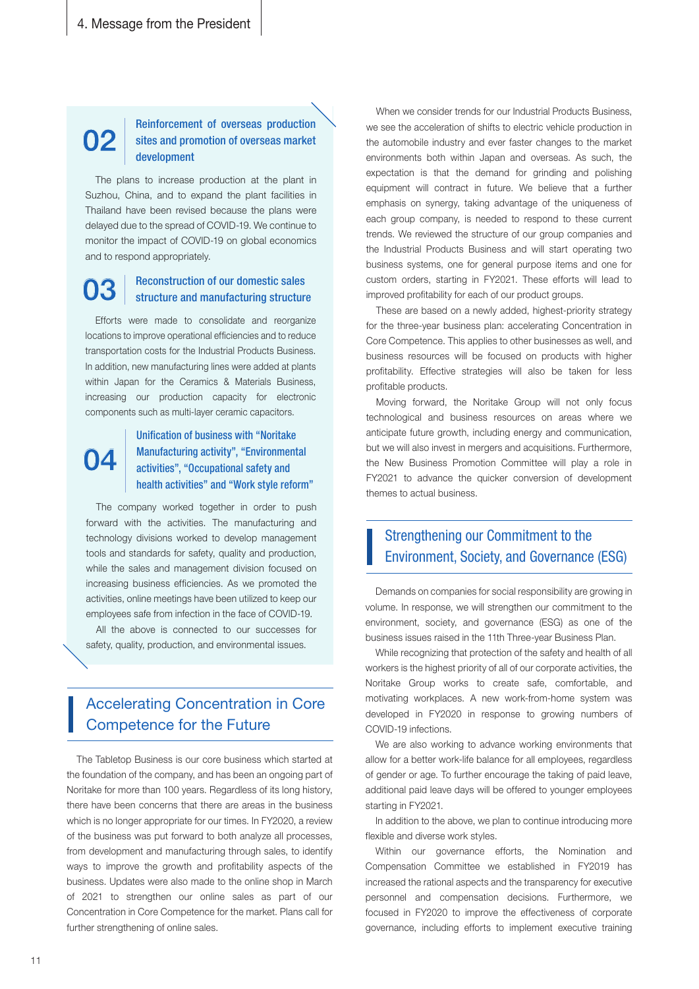# **02**

### Reinforcement of overseas production sites and promotion of overseas market development

The plans to increase production at the plant in Suzhou, China, and to expand the plant facilities in Thailand have been revised because the plans were delayed due to the spread of COVID-19. We continue to monitor the impact of COVID-19 on global economics and to respond appropriately.

### Reconstruction of our domestic sales<br>structure and manufacturing structure

Efforts were made to consolidate and reorganize locations to improve operational efficiencies and to reduce transportation costs for the Industrial Products Business. In addition, new manufacturing lines were added at plants within Japan for the Ceramics & Materials Business, increasing our production capacity for electronic components such as multi-layer ceramic capacitors.

### Unification of business with "Noritake Manufacturing activity", "Environmental activities", "Occupational safety and health activities" and "Work style reform" **04**

The company worked together in order to push forward with the activities. The manufacturing and technology divisions worked to develop management tools and standards for safety, quality and production, while the sales and management division focused on increasing business efficiencies. As we promoted the activities, online meetings have been utilized to keep our employees safe from infection in the face of COVID-19.

All the above is connected to our successes for safety, quality, production, and environmental issues.

### Accelerating Concentration in Core Competence for the Future

The Tabletop Business is our core business which started at the foundation of the company, and has been an ongoing part of Noritake for more than 100 years. Regardless of its long history, there have been concerns that there are areas in the business which is no longer appropriate for our times. In FY2020, a review of the business was put forward to both analyze all processes, from development and manufacturing through sales, to identify ways to improve the growth and profitability aspects of the business. Updates were also made to the online shop in March of 2021 to strengthen our online sales as part of our Concentration in Core Competence for the market. Plans call for further strengthening of online sales.

When we consider trends for our Industrial Products Business. we see the acceleration of shifts to electric vehicle production in the automobile industry and ever faster changes to the market environments both within Japan and overseas. As such, the expectation is that the demand for grinding and polishing equipment will contract in future. We believe that a further emphasis on synergy, taking advantage of the uniqueness of each group company, is needed to respond to these current trends. We reviewed the structure of our group companies and the Industrial Products Business and will start operating two business systems, one for general purpose items and one for custom orders, starting in FY2021. These efforts will lead to improved profitability for each of our product groups.

These are based on a newly added, highest-priority strategy for the three-year business plan: accelerating Concentration in Core Competence. This applies to other businesses as well, and business resources will be focused on products with higher profitability. Effective strategies will also be taken for less profitable products.

Moving forward, the Noritake Group will not only focus technological and business resources on areas where we anticipate future growth, including energy and communication, but we will also invest in mergers and acquisitions. Furthermore, the New Business Promotion Committee will play a role in FY2021 to advance the quicker conversion of development themes to actual business.

### Strengthening our Commitment to the Environment, Society, and Governance (ESG)

Demands on companies for social responsibility are growing in volume. In response, we will strengthen our commitment to the environment, society, and governance (ESG) as one of the business issues raised in the 11th Three-year Business Plan.

While recognizing that protection of the safety and health of all workers is the highest priority of all of our corporate activities, the Noritake Group works to create safe, comfortable, and motivating workplaces. A new work-from-home system was developed in FY2020 in response to growing numbers of COVID-19 infections.

We are also working to advance working environments that allow for a better work-life balance for all employees, regardless of gender or age. To further encourage the taking of paid leave, additional paid leave days will be offered to younger employees starting in FY2021.

In addition to the above, we plan to continue introducing more flexible and diverse work styles.

Within our governance efforts, the Nomination and Compensation Committee we established in FY2019 has increased the rational aspects and the transparency for executive personnel and compensation decisions. Furthermore, we focused in FY2020 to improve the effectiveness of corporate governance, including efforts to implement executive training